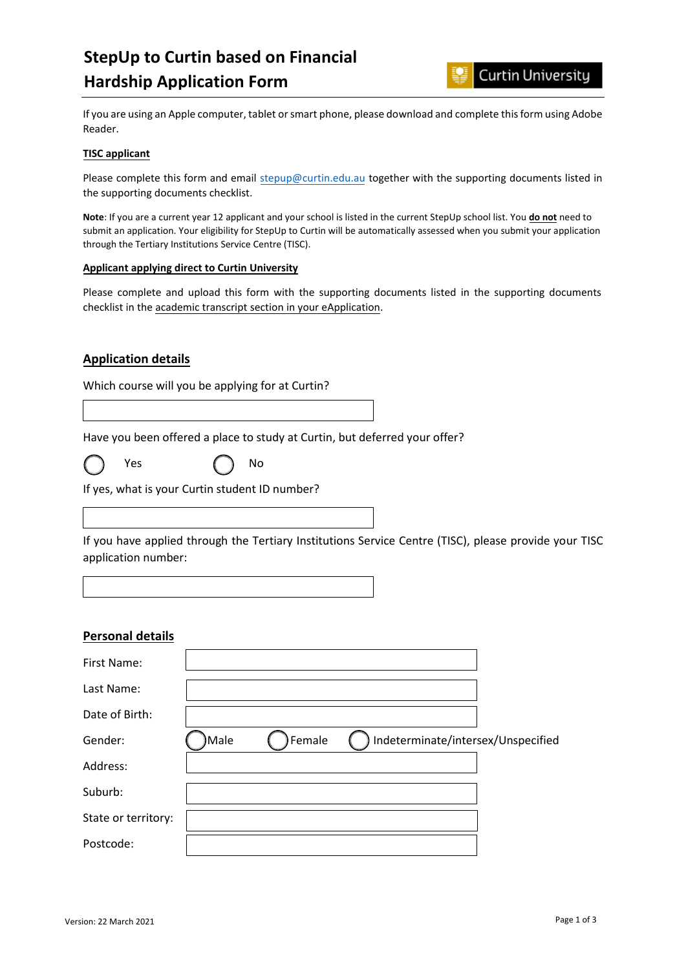# **StepUp to Curtin based on Financial Hardship Application Form**



If you are using an Apple computer, tablet or smart phone, please download and complete this form using Adobe Reader.

#### **TISC applicant**

Please complete this form and email [stepup@curtin.edu.au](mailto:stepup@curtin.edu.au) together with the supporting documents listed in the supporting documents checklist.

**Note**: If you are a current year 12 applicant and your school is listed in the current StepUp school list. You **do not** need to submit an application. Your eligibility for StepUp to Curtin will be automatically assessed when you submit your application through the Tertiary Institutions Service Centre (TISC).

#### **Applicant applying direct to Curtin University**

Please complete and upload this form with the supporting documents listed in the supporting documents checklist in the academic transcript section in your eApplication.

## **Application details**

Which course will you be applying for at Curtin?

Have you been offered a place to study at Curtin, but deferred your offer?



Yes  $\left( \begin{array}{cc} \searrow \end{array} \right)$  No

If yes, what is your Curtin student ID number?

If you have applied through the Tertiary Institutions Service Centre (TISC), please provide your TISC application number:

## **Personal details**

| First Name:         |      |        |                                    |  |
|---------------------|------|--------|------------------------------------|--|
| Last Name:          |      |        |                                    |  |
| Date of Birth:      |      |        |                                    |  |
| Gender:             | Male | Female | Indeterminate/intersex/Unspecified |  |
| Address:            |      |        |                                    |  |
| Suburb:             |      |        |                                    |  |
| State or territory: |      |        |                                    |  |
| Postcode:           |      |        |                                    |  |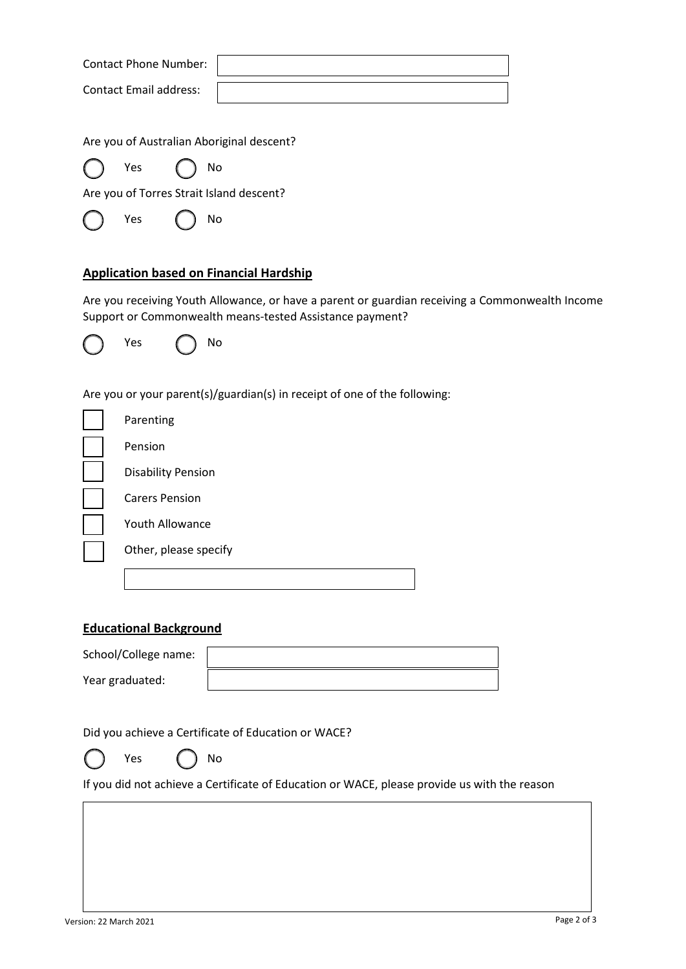Contact Phone Number:

Contact Email address:

Are you of Australian Aboriginal descent?

Yes  $\bigcap$  No

Are you of Torres Strait Island descent?

Yes  $\left( \begin{array}{c} \searrow \end{array} \right)$  No

# **Application based on Financial Hardship**

Are you receiving Youth Allowance, or have a parent or guardian receiving a Commonwealth Income Support or Commonwealth means-tested Assistance payment?



Are you or your parent(s)/guardian(s) in receipt of one of the following:

| Parenting                 |
|---------------------------|
| Pension                   |
| <b>Disability Pension</b> |
| <b>Carers Pension</b>     |
| <b>Youth Allowance</b>    |
| Other, please specify     |
|                           |

## **Educational Background**

| School/College name: |  |
|----------------------|--|
| Year graduated:      |  |

Did you achieve a Certificate of Education or WACE?



If you did not achieve a Certificate of Education or WACE, please provide us with the reason